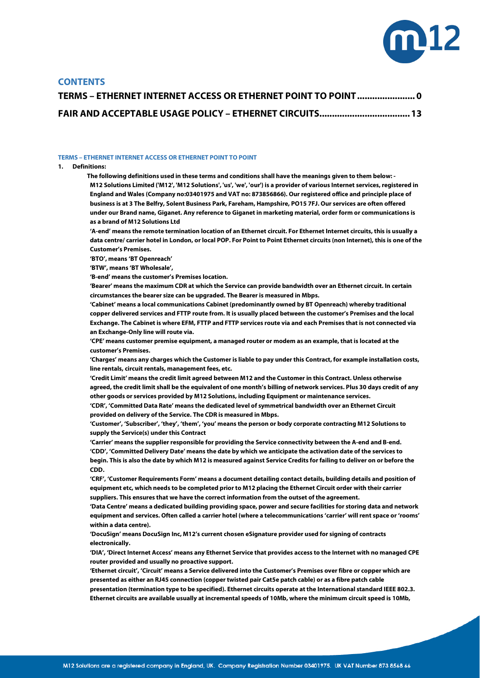

# **CONTENTS**

| TERMS - ETHERNET INTERNET ACCESS OR ETHERNET POINT TO POINT  0 |  |
|----------------------------------------------------------------|--|
| FAIR AND ACCEPTABLE USAGE POLICY - ETHERNET CIRCUITS 13        |  |

#### <span id="page-0-0"></span>**TERMS – ETHERNET INTERNET ACCESS OR ETHERNET POINT TO POINT**

### **1. Definitions:**

**The following definitions used in these terms and conditions shall have the meanings given to them below: - M12 Solutions Limited ('M12', 'M12 Solutions', 'us', 'we', 'our') is a provider of various Internet services, registered in England and Wales (Company no:03401975 and VAT no: 873856866). Our registered office and principle place of business is at 3 The Belfry, Solent Business Park, Fareham, Hampshire, PO15 7FJ. Our services are often offered under our Brand name, Giganet. Any reference to Giganet in marketing material, order form or communications is as a brand of M12 Solutions Ltd**

**'A-end' means the remote termination location of an Ethernet circuit. For Ethernet Internet circuits, this is usually a data centre/ carrier hotel in London, or local POP. For Point to Point Ethernet circuits (non Internet), this is one of the Customer's Premises.**

**'BTO', means 'BT Openreach'** 

**'BTW', means 'BT Wholesale',** 

**'B-end' means the customer's Premises location.**

**'Bearer' means the maximum CDR at which the Service can provide bandwidth over an Ethernet circuit. In certain circumstances the bearer size can be upgraded. The Bearer is measured in Mbps.**

**'Cabinet' means a local communications Cabinet (predominantly owned by BT Openreach) whereby traditional copper delivered services and FTTP route from. It is usually placed between the customer's Premises and the local Exchange. The Cabinet is where EFM, FTTP and FTTP services route via and each Premises that is not connected via an Exchange-Only line will route via.**

**'CPE' means customer premise equipment, a managed router or modem as an example, that is located at the customer's Premises.**

**'Charges' means any charges which the Customer is liable to pay under this Contract, for example installation costs, line rentals, circuit rentals, management fees, etc.** 

**'Credit Limit' means the credit limit agreed between M12 and the Customer in this Contract. Unless otherwise agreed, the credit limit shall be the equivalent of one month's billing of network services. Plus 30 days credit of any other goods or services provided by M12 Solutions, including Equipment or maintenance services.** 

**'CDR', 'Committed Data Rate' means the dedicated level of symmetrical bandwidth over an Ethernet Circuit provided on delivery of the Service. The CDR is measured in Mbps.**

**'Customer', 'Subscriber', 'they', 'them', 'you' means the person or body corporate contracting M12 Solutions to supply the Service(s) under this Contract** 

**'Carrier' means the supplier responsible for providing the Service connectivity between the A-end and B-end. 'CDD', 'Committed Delivery Date' means the date by which we anticipate the activation date of the services to begin. This is also the date by which M12 is measured against Service Credits for failing to deliver on or before the CDD.**

**'CRF', 'Customer Requirements Form' means a document detailing contact details, building details and position of equipment etc, which needs to be completed prior to M12 placing the Ethernet Circuit order with their carrier suppliers. This ensures that we have the correct information from the outset of the agreement.**

**'Data Centre' means a dedicated building providing space, power and secure facilities for storing data and network equipment and services. Often called a carrier hotel (where a telecommunications 'carrier' will rent space or 'rooms' within a data centre).** 

**'DocuSign' means DocuSign Inc, M12's current chosen eSignature provider used for signing of contracts electronically.**

**'DIA', 'Direct Internet Access' means any Ethernet Service that provides access to the Internet with no managed CPE router provided and usually no proactive support.**

**'Ethernet circuit', 'Circuit' means a Service delivered into the Customer's Premises over fibre or copper which are presented as either an RJ45 connection (copper twisted pair Cat5e patch cable) or as a fibre patch cable presentation (termination type to be specified). Ethernet circuits operate at the International standard IEEE 802.3. Ethernet circuits are available usually at incremental speeds of 10Mb, where the minimum circuit speed is 10Mb,**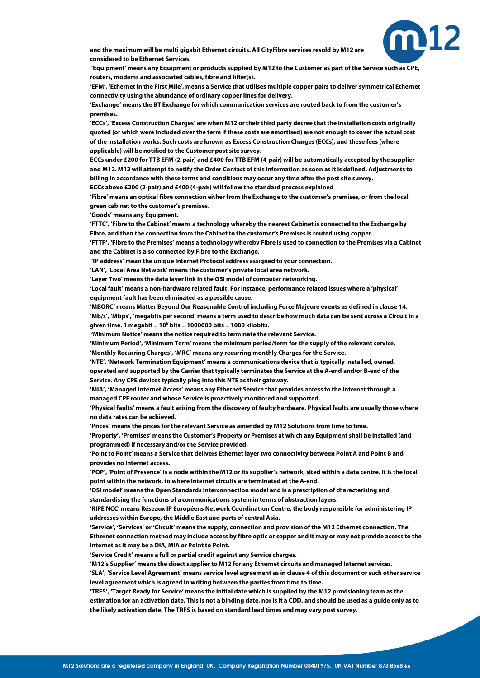

**and the maximum will be multi gigabit Ethernet circuits. All CityFibre services resold by M12 are considered to be Ethernet Services.**

**'Equipment' means any Equipment or products supplied by M12 to the Customer as part of the Service such as CPE, routers, modems and associated cables, fibre and filter(s).**

**'EFM', 'Ethernet in the First Mile', means a Service that utilises multiple copper pairs to deliver symmetrical Ethernet connectivity using the abundance of ordinary copper lines for delivery.**

**'Exchange' means the BT Exchange for which communication services are routed back to from the customer's premises.**

**'ECCs', 'Excess Construction Charges' are when M12 or their third party decree that the installation costs originally quoted (or which were included over the term if these costs are amortised) are not enough to cover the actual cost of the installation works. Such costs are known as Excess Construction Charges (ECCs), and these fees (where applicable) will be notified to the Customer post site survey.**

**ECCs under £200 for TTB EFM (2-pair) and £400 for TTB EFM (4-pair) will be automatically accepted by the supplier and M12. M12 will attempt to notify the Order Contact of this information as soon as it is defined. Adjustments to billing in accordance with these terms and conditions may occur any time after the post site survey.**

**ECCs above £200 (2-pair) and £400 (4-pair) will follow the standard process explained**

**'Fibre' means an optical fibre connection either from the Exchange to the customer's premises, or from the local green cabinet to the customer's premises.**

**'Goods' means any Equipment.**

**'FTTC', 'Fibre to the Cabinet' means a technology whereby the nearest Cabinet is connected to the Exchange by Fibre, and then the connection from the Cabinet to the customer's Premises is routed using copper.**

**'FTTP', 'Fibre to the Premises' means a technology whereby Fibre is used to connection to the Premises via a Cabinet and the Cabinet is also connected by Fibre to the Exchange.**

**'IP address' mean the unique Internet Protocol address assigned to your connection.**

**'LAN', 'Local Area Network' means the customer's private local area network.**

**'Layer Two' means the data layer link in the OSI model of computer networking.**

**'Local fault' means a non-hardware related fault. For instance, performance related issues where a 'physical' equipment fault has been eliminated as a possible cause.**

**'MBORC' means Matter Beyond Our Reasonable Control including Force Majeure events as defined in claus[e 14.](#page-11-0) 'Mb/s', 'Mbps', 'megabits per second' means a term used to describe how much data can be sent across a Circuit in a given time. 1 megabit = 106 bits = 1000000 bits = 1000 kilobits.**

**'Minimum Notice' means the notice required to terminate the relevant Service.**

**'Minimum Period', 'Minimum Term' means the minimum period/term for the supply of the relevant service. 'Monthly Recurring Charges', 'MRC' means any recurring monthly Charges for the Service.**

**'NTE', 'Network Termination Equipment' means a communications device that is typically installed, owned,** 

**operated and supported by the Carrier that typically terminates the Service at the A-end and/or B-end of the Service. Any CPE devices typically plug into this NTE as their gateway.**

**'MIA', 'Managed Internet Access' means any Ethernet Service that provides access to the Internet through a managed CPE router and whose Service is proactively monitored and supported.**

**'Physical faults' means a fault arising from the discovery of faulty hardware. Physical faults are usually those where no data rates can be achieved.**

**'Prices' means the prices for the relevant Service as amended by M12 Solutions from time to time.**

**'Property', 'Premises' means the Customer's Property or Premises at which any Equipment shall be installed (and programmed) if necessary and/or the Service provided.** 

**'Point to Point' means a Service that delivers Ethernet layer two connectivity between Point A and Point B and provides no Internet access.**

**'POP', 'Point of Presence' is a node within the M12 or its supplier's network, sited within a data centre. It is the local point within the network, to where Internet circuits are terminated at the A-end.**

**'OSI model' means the Open Standards Interconnection model and is a prescription of characterising and standardising the functions of a communications system in terms of abstraction layers.**

**'RIPE NCC' means Réseaux IP Européens Network Coordination Centre, the body responsible for administering IP addresses within Europe, the Middle East and parts of central Asia.**

**'Service', 'Services' or 'Circuit' means the supply, connection and provision of the M12 Ethernet connection. The Ethernet connection method may include access by fibre optic or copper and it may or may not provide access to the Internet as it may be a DIA, MIA or Point to Point.**

**'Service Credit' means a full or partial credit against any Service charges.**

**'M12's Supplier' means the direct supplier to M12 for any Ethernet circuits and managed Internet services. 'SLA', 'Service Level Agreement' means service level agreement as in claus[e 4](#page-4-0) of this document or such other service level agreement which is agreed in writing between the parties from time to time.**

**'TRFS', 'Target Ready for Service' means the initial date which is supplied by the M12 provisioning team as the estimation for an activation date. This is not a binding date, nor is it a CDD, and should be used as a guide only as to the likely activation date. The TRFS is based on standard lead times and may vary post survey.**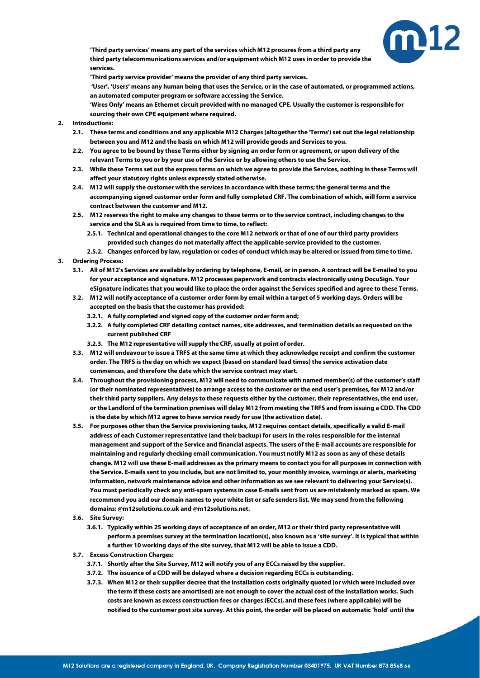

**'Third party services' means any part of the services which M12 procures from a third party any third party telecommunications services and/or equipment which M12 uses in order to provide the services.**

**'Third party service provider' means the provider of any third party services.**

**'User', 'Users' means any human being that uses the Service, or in the case of automated, or programmed actions, an automated computer program or software accessing the Service.**

**'Wires Only' means an Ethernet circuit provided with no managed CPE. Usually the customer is responsible for sourcing their own CPE equipment where required.**

- **2. Introductions:**
	- **2.1. These terms and conditions and any applicable M12 Charges (altogether the 'Terms') set out the legal relationship between you and M12 and the basis on which M12 will provide goods and Services to you.**
	- **2.2. You agree to be bound by these Terms either by signing an order form or agreement, or upon delivery of the relevant Terms to you or by your use of the Service or by allowing others to use the Service.**
	- **2.3. While these Terms set out the express terms on which we agree to provide the Services, nothing in these Terms will affect your statutory rights unless expressly stated otherwise.**
	- **2.4. M12 will supply the customer with the services in accordance with these terms; the general terms and the accompanying signed customer order form and fully completed CRF. The combination of which, will form a service contract between the customer and M12.**
	- **2.5. M12 reserves the right to make any changes to these terms or to the service contract, including changes to the service and the SLA as is required from time to time, to reflect:**
		- **2.5.1. Technical and operational changes to the core M12 network or that of one of our third party providers provided such changes do not materially affect the applicable service provided to the customer.**
	- **2.5.2. Changes enforced by law, regulation or codes of conduct which may be altered or issued from time to time.**
- <span id="page-2-0"></span>**3. Ordering Process:**
	- **3.1. All of M12's Services are available by ordering by telephone, E-mail, or in person. A contract will be E-mailed to you for your acceptance and signature. M12 processes paperwork and contracts electronically using DocuSign. Your eSignature indicates that you would like to place the order against the Services specified and agree to these Terms.**
	- **3.2. M12 will notify acceptance of a customer order form by email within a target of 5 working days. Orders will be accepted on the basis that the customer has provided:**
		- **3.2.1. A fully completed and signed copy of the customer order form and;**
		- **3.2.2. A fully completed CRF detailing contact names, site addresses, and termination details as requested on the current published CRF**
		- **3.2.3. The M12 representative will supply the CRF, usually at point of order.**
	- **3.3. M12 will endeavour to issue a TRFS at the same time at which they acknowledge receipt and confirm the customer order. The TRFS is the day on which we expect (based on standard lead times) the service activation date commences, and therefore the date which the service contract may start.**
	- **3.4. Throughout the provisioning process, M12 will need to communicate with named member(s) of the customer's staff (or their nominated representatives) to arrange access to the customer or the end user's premises, for M12 and/or their third party suppliers. Any delays to these requests either by the customer, their representatives, the end user, or the Landlord of the termination premises will delay M12 from meeting the TRFS and from issuing a CDD. The CDD is the date by which M12 agree to have service ready for use (the activation date).**
	- **3.5. For purposes other than the Service provisioning tasks, M12 requires contact details, specifically a valid E-mail address of each Customer representative (and their backup) for users in the roles responsible for the internal management and support of the Service and financial aspects. The users of the E-mail accounts are responsible for maintaining and regularly checking email communication. You must notify M12 as soon as any of these details change. M12 will use these E-mail addresses as the primary means to contact you for all purposes in connection with the Service. E-mails sent to you include, but are not limited to, your monthly invoice, warnings or alerts, marketing information, network maintenance advice and other information as we see relevant to delivering your Service(s). You must periodically check any anti-spam systems in case E-mails sent from us are mistakenly marked as spam. We recommend you add our domain names to your white list or safe senders list. We may send from the following domains: @m12solutions.co.uk and @m12solutions.net.**
	- **3.6. Site Survey:**
		- **3.6.1. Typically within 25 working days of acceptance of an order, M12 or their third party representative will perform a premises survey at the termination location(s), also known as a 'site survey'. It is typical that within a further 10 working days of the site survey, that M12 will be able to issue a CDD.**
	- **3.7. Excess Construction Charges:**
		- **3.7.1. Shortly after the Site Survey, M12 will notify you of any ECCs raised by the supplier.**
		- **3.7.2. The issuance of a CDD will be delayed where a decision regarding ECCs is outstanding.**
		- **3.7.3. When M12 or their supplier decree that the installation costs originally quoted (or which were included over the term if these costs are amortised) are not enough to cover the actual cost of the installation works. Such costs are known as excess construction fees or charges (ECCs), and these fees (where applicable) will be notified to the customer post site survey. At this point, the order will be placed on automatic 'hold' until the**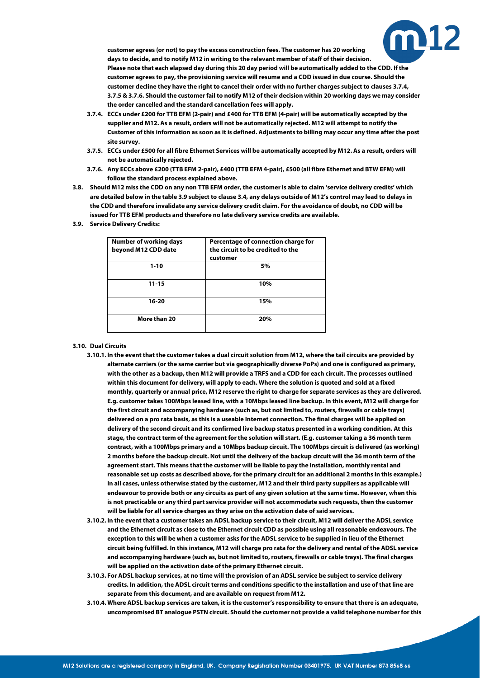

**customer agrees (or not) to pay the excess construction fees. The customer has 20 working days to decide, and to notify M12 in writing to the relevant member of staff of their decision. Please note that each elapsed day during this 20 day period will be automatically added to the CDD. If the customer agrees to pay, the provisioning service will resume and a CDD issued in due course. Should the customer decline they have the right to cancel their order with no further charges subject to clause[s 3.7.4,](#page-3-0) [3.7.5](#page-3-1) [& 3.7.6.](#page-3-2) Should the customer fail to notify M12 of their decision within 20 working days we may consider the order cancelled and the standard cancellation fees will apply.**

- <span id="page-3-0"></span>**3.7.4. ECCs under £200 for TTB EFM (2-pair) and £400 for TTB EFM (4-pair) will be automatically accepted by the supplier and M12. As a result, orders will not be automatically rejected. M12 will attempt to notify the Customer of this information as soon as it is defined. Adjustments to billing may occur any time after the post site survey.**
- <span id="page-3-1"></span>**3.7.5. ECCs under £500 for all fibre Ethernet Services will be automatically accepted by M12. As a result, orders will not be automatically rejected.**
- **3.7.6. Any ECCs above £200 (TTB EFM 2-pair), £400 (TTB EFM 4-pair), £500 (all fibre Ethernet and BTW EFM) will follow the standard process explained above.**
- <span id="page-3-2"></span>**3.8. Should M12 miss the CDD on any non TTB EFM order, the customer is able to claim 'service delivery credits' which are detailed below in the tabl[e 3.9](#page-3-3) subject to claus[e 3.4,](#page-2-0) any delays outside of M12's control may lead to delays in the CDD and therefore invalidate any service delivery credit claim. For the avoidance of doubt, no CDD will be issued for TTB EFM products and therefore no late delivery service credits are available.**
- <span id="page-3-3"></span>**3.9. Service Delivery Credits:**

| <b>Number of working days</b><br>beyond M12 CDD date | Percentage of connection charge for<br>the circuit to be credited to the<br>customer |
|------------------------------------------------------|--------------------------------------------------------------------------------------|
| $1 - 10$                                             | 5%                                                                                   |
| $11 - 15$                                            | 10%                                                                                  |
| 16-20                                                | 15%                                                                                  |
| More than 20                                         | 20%                                                                                  |

#### <span id="page-3-4"></span>**3.10. Dual Circuits**

- **3.10.1. In the event that the customer takes a dual circuit solution from M12, where the tail circuits are provided by alternate carriers (or the same carrier but via geographically diverse PoPs) and one is configured as primary, with the other as a backup, then M12 will provide a TRFS and a CDD for each circuit. The processes outlined within this document for delivery, will apply to each. Where the solution is quoted and sold at a fixed monthly, quarterly or annual price, M12 reserve the right to charge for separate services as they are delivered. E.g. customer takes 100Mbps leased line, with a 10Mbps leased line backup. In this event, M12 will charge for the first circuit and accompanying hardware (such as, but not limited to, routers, firewalls or cable trays) delivered on a pro rata basis, as this is a useable Internet connection. The final charges will be applied on delivery of the second circuit and its confirmed live backup status presented in a working condition. At this stage, the contract term of the agreement for the solution will start. (E.g. customer taking a 36 month term contract, with a 100Mbps primary and a 10Mbps backup circuit. The 100Mbps circuit is delivered (as working) 2 months before the backup circuit. Not until the delivery of the backup circuit will the 36 month term of the agreement start. This means that the customer will be liable to pay the installation, monthly rental and reasonable set up costs as described above, for the primary circuit for an additional 2 months in this example.) In all cases, unless otherwise stated by the customer, M12 and their third party suppliers as applicable will endeavour to provide both or any circuits as part of any given solution at the same time. However, when this is not practicable or any third part service provider will not accommodate such requests, then the customer will be liable for all service charges as they arise on the activation date of said services.**
- <span id="page-3-5"></span>**3.10.2. In the event that a customer takes an ADSL backup service to their circuit, M12 will deliver the ADSL service and the Ethernet circuit as close to the Ethernet circuit CDD as possible using all reasonable endeavours. The exception to this will be when a customer asks for the ADSL service to be supplied in lieu of the Ethernet circuit being fulfilled. In this instance, M12 will charge pro rata for the delivery and rental of the ADSL service and accompanying hardware (such as, but not limited to, routers, firewalls or cable trays). The final charges will be applied on the activation date of the primary Ethernet circuit.**
- **3.10.3. For ADSL backup services, at no time will the provision of an ADSL service be subject to service delivery credits. In addition, the ADSL circuit terms and conditions specific to the installation and use of that line are separate from this document, and are available on request from M12.**
- **3.10.4. Where ADSL backup services are taken, it is the customer's responsibility to ensure that there is an adequate, uncompromised BT analogue PSTN circuit. Should the customer not provide a valid telephone number for this**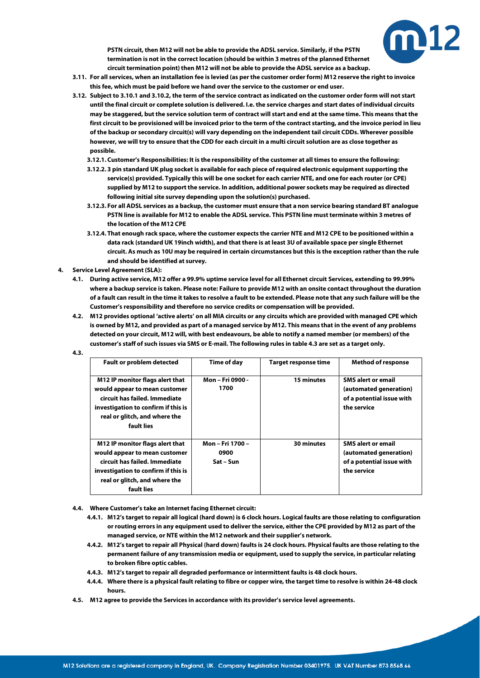

**PSTN circuit, then M12 will not be able to provide the ADSL service. Similarly, if the PSTN termination is not in the correct location (should be within 3 metres of the planned Ethernet circuit termination point) then M12 will not be able to provide the ADSL service as a backup.**

- **3.11. For all services, when an installation fee is levied (as per the customer order form) M12 reserve the right to invoice this fee, which must be paid before we hand over the service to the customer or end user.**
- **3.12. Subject t[o 3.10.1](#page-3-4) an[d 3.10.2,](#page-3-5) the term of the service contract as indicated on the customer order form will not start until the final circuit or complete solution is delivered. I.e. the service charges and start dates of individual circuits may be staggered, but the service solution term of contract will start and end at the same time. This means that the first circuit to be provisioned will be invoiced prior to the term of the contract starting, and the invoice period in lieu of the backup or secondary circuit(s) will vary depending on the independent tail circuit CDDs. Wherever possible however, we will try to ensure that the CDD for each circuit in a multi circuit solution are as close together as possible.**
	- **3.12.1. Customer's Responsibilities: It is the responsibility of the customer at all times to ensure the following:**
	- **3.12.2. 3 pin standard UK plug socket is available for each piece of required electronic equipment supporting the service(s) provided. Typically this will be one socket for each carrier NTE, and one for each router (or CPE) supplied by M12 to support the service. In addition, additional power sockets may be required as directed following initial site survey depending upon the solution(s) purchased.**
	- **3.12.3. For all ADSL services as a backup, the customer must ensure that a non service bearing standard BT analogue PSTN line is available for M12 to enable the ADSL service. This PSTN line must terminate within 3 metres of the location of the M12 CPE**
	- **3.12.4. That enough rack space, where the customer expects the carrier NTE and M12 CPE to be positioned within a data rack (standard UK 19inch width), and that there is at least 3U of available space per single Ethernet circuit. As much as 10U may be required in certain circumstances but this is the exception rather than the rule and should be identified at survey.**
- <span id="page-4-0"></span>**4. Service Level Agreement (SLA):**
	- **4.1. During active service, M12 offer a 99.9% uptime service level for all Ethernet circuit Services, extending to 99.99% where a backup service is taken. Please note: Failure to provide M12 with an onsite contact throughout the duration of a fault can result in the time it takes to resolve a fault to be extended. Please note that any such failure will be the Customer's responsibility and therefore no service credits or compensation will be provided.**
	- **4.2. M12 provides optional 'active alerts' on all MIA circuits or any circuits which are provided with managed CPE which is owned by M12, and provided as part of a managed service by M12. This means that in the event of any problems detected on your circuit, M12 will, with best endeavours, be able to notify a named member (or members) of the customer's staff of such issues via SMS or E-mail. The following rules in tabl[e 4.3](#page-4-1) are set as a target only.**

| <b>Fault or problem detected</b>                                                                                                                                                        | Time of day                           | <b>Target response time</b> | <b>Method of response</b>                                                                       |
|-----------------------------------------------------------------------------------------------------------------------------------------------------------------------------------------|---------------------------------------|-----------------------------|-------------------------------------------------------------------------------------------------|
| M12 IP monitor flags alert that<br>would appear to mean customer<br>circuit has failed. Immediate<br>investigation to confirm if this is<br>real or glitch, and where the<br>fault lies | Mon - Fri 0900 -<br>1700              | 15 minutes                  | <b>SMS alert or email</b><br>(automated generation)<br>of a potential issue with<br>the service |
| M12 IP monitor flags alert that<br>would appear to mean customer<br>circuit has failed. Immediate<br>investigation to confirm if this is<br>real or glitch, and where the<br>fault lies | Mon - Fri 1700 -<br>0900<br>Sat – Sun | 30 minutes                  | <b>SMS alert or email</b><br>(automated generation)<br>of a potential issue with<br>the service |

<span id="page-4-3"></span><span id="page-4-1"></span>**4.3.**

- <span id="page-4-2"></span>**4.4. Where Customer's take an Internet facing Ethernet circuit:**
	- **4.4.1. M12's target to repair all logical (hard down) is 6 clock hours. Logical faults are those relating to configuration or routing errors in any equipment used to deliver the service, either the CPE provided by M12 as part of the managed service, or NTE within the M12 network and their supplier's network.**
	- **4.4.2. M12's target to repair all Physical (hard down) faults is 24 clock hours. Physical faults are those relating to the permanent failure of any transmission media or equipment, used to supply the service, in particular relating to broken fibre optic cables.**
	- **4.4.3. M12's target to repair all degraded performance or intermittent faults is 48 clock hours.**
	- **4.4.4. Where there is a physical fault relating to fibre or copper wire, the target time to resolve is within 24-48 clock hours.**
- **4.5. M12 agree to provide the Services in accordance with its provider's service level agreements.**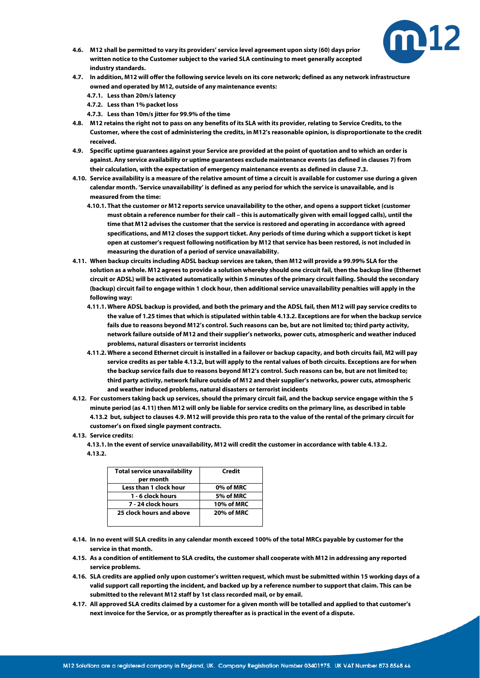

- **4.6. M12 shall be permitted to vary its providers' service level agreement upon sixty (60) days prior written notice to the Customer subject to the varied SLA continuing to meet generally accepted industry standards.**
- **4.7. In addition, M12 will offer the following service levels on its core network; defined as any network infrastructure owned and operated by M12, outside of any maintenance events:**
	- **4.7.1. Less than 20m/s latency**
	- **4.7.2. Less than 1% packet loss**
	- **4.7.3. Less than 10m/s jitter for 99.9% of the time**
- **4.8. M12 retains the right not to pass on any benefits of its SLA with its provider, relating to Service Credits, to the Customer, where the cost of administering the credits, in M12's reasonable opinion, is disproportionate to the credit received.**
- <span id="page-5-2"></span>**4.9. Specific uptime guarantees against your Service are provided at the point of quotation and to which an order is against. Any service availability or uptime guarantees exclude maintenance events (as defined in clause[s 7\)](#page-8-0) from their calculation, with the expectation of emergency maintenance events as defined in clause 7.3.**
- **4.10. Service availability is a measure of the relative amount of time a circuit is available for customer use during a given calendar month. 'Service unavailability' is defined as any period for which the service is unavailable, and is measured from the time:**
	- **4.10.1. That the customer or M12 reports service unavailability to the other, and opens a support ticket (customer must obtain a reference number for their call – this is automatically given with email logged calls), until the time that M12 advises the customer that the service is restored and operating in accordance with agreed specifications, and M12 closes the support ticket. Any periods of time during which a support ticket is kept open at customer's request following notification by M12 that service has been restored, is not included in measuring the duration of a period of service unavailability.**
- <span id="page-5-1"></span>**4.11. When backup circuits including ADSL backup services are taken, then M12 will provide a 99.99% SLA for the solution as a whole. M12 agrees to provide a solution whereby should one circuit fail, then the backup line (Ethernet circuit or ADSL) will be activated automatically within 5 minutes of the primary circuit failing. Should the secondary (backup) circuit fail to engage within 1 clock hour, then additional service unavailability penalties will apply in the following way:**
	- **4.11.1. Where ADSL backup is provided, and both the primary and the ADSL fail, then M12 will pay service credits to the value of 1.25 times that which is stipulated within tabl[e 4.13.2.](#page-5-0) Exceptions are for when the backup service fails due to reasons beyond M12's control. Such reasons can be, but are not limited to; third party activity, network failure outside of M12 and their supplier's networks, power cuts, atmospheric and weather induced problems, natural disasters or terrorist incidents**
	- **4.11.2. Where a second Ethernet circuit is installed in a failover or backup capacity, and both circuits fail, M2 will pay service credits as per tabl[e 4.13.2,](#page-5-0) but will apply to the rental values of both circuits. Exceptions are for when the backup service fails due to reasons beyond M12's control. Such reasons can be, but are not limited to; third party activity, network failure outside of M12 and their supplier's networks, power cuts, atmospheric and weather induced problems, natural disasters or terrorist incidents**
- **4.12. For customers taking back up services, should the primary circuit fail, and the backup service engage within the 5 minute period (a[s 4.11\)](#page-5-1) then M12 will only be liable for service credits on the primary line, as described in table [4.13.2](#page-5-0) but, subject to clause[s 4.9.](#page-5-2) M12 will provide this pro rata to the value of the rental of the primary circuit for customer's on fixed single payment contracts.**

## <span id="page-5-3"></span><span id="page-5-0"></span>**4.13. Service credits:**

**4.13.1. In the event of service unavailability, M12 will credit the customer in accordance with tabl[e 4.13.2.](#page-5-0) 4.13.2.**

| <b>Total service unavailability</b><br>per month | Credit     |
|--------------------------------------------------|------------|
|                                                  |            |
| Less than 1 clock hour                           | 0% of MRC  |
| 1 - 6 clock hours                                | 5% of MRC  |
| 7 - 24 clock hours                               | 10% of MRC |
| 25 clock hours and above                         | 20% of MRC |
|                                                  |            |

- **4.14. In no event will SLA credits in any calendar month exceed 100% of the total MRCs payable by customer for the service in that month.**
- **4.15. As a condition of entitlement to SLA credits, the customer shall cooperate with M12 in addressing any reported service problems.**
- **4.16. SLA credits are applied only upon customer's written request, which must be submitted within 15 working days of a valid support call reporting the incident, and backed up by a reference number to support that claim. This can be submitted to the relevant M12 staff by 1st class recorded mail, or by email.**
- **4.17. All approved SLA credits claimed by a customer for a given month will be totalled and applied to that customer's next invoice for the Service, or as promptly thereafter as is practical in the event of a dispute.**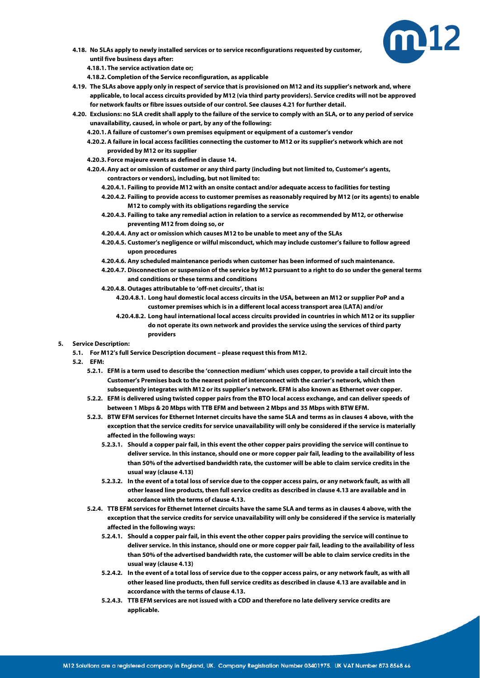

**4.18. No SLAs apply to newly installed services or to service reconfigurations requested by customer, until five business days after:**

**4.18.1. The service activation date or;**

**4.18.2. Completion of the Service reconfiguration, as applicable**

- **4.19. The SLAs above apply only in respect of service that is provisioned on M12 and its supplier's network and, where applicable, to local access circuits provided by M12 (via third party providers). Service credits will not be approved for network faults or fibre issues outside of our control. See clause[s 4.21](#page-6-0) for further detail.**
- <span id="page-6-0"></span>**4.20. Exclusions: no SLA credit shall apply to the failure of the service to comply with an SLA, or to any period of service unavailability, caused, in whole or part, by any of the following:**
	- **4.20.1.A failure of customer's own premises equipment or equipment of a customer's vendor**
	- **4.20.2.A failure in local access facilities connecting the customer to M12 or its supplier's network which are not provided by M12 or its supplier**
	- **4.20.3. Force majeure events as defined in claus[e 14.](#page-11-0)**
	- **4.20.4.Any act or omission of customer or any third party (including but not limited to, Customer's agents, contractors or vendors), including, but not limited to:**
		- **4.20.4.1. Failing to provide M12 with an onsite contact and/or adequate access to facilities for testing**
		- **4.20.4.2. Failing to provide access to customer premises as reasonably required by M12 (or its agents) to enable M12 to comply with its obligations regarding the service**
		- **4.20.4.3. Failing to take any remedial action in relation to a service as recommended by M12, or otherwise preventing M12 from doing so, or**
		- **4.20.4.4. Any act or omission which causes M12 to be unable to meet any of the SLAs**
		- **4.20.4.5. Customer's negligence or wilful misconduct, which may include customer's failure to follow agreed upon procedures**
		- **4.20.4.6. Any scheduled maintenance periods when customer has been informed of such maintenance.**
		- **4.20.4.7. Disconnection or suspension of the service by M12 pursuant to a right to do so under the general terms and conditions or these terms and conditions**
		- **4.20.4.8. Outages attributable to 'off-net circuits', that is:**
			- **4.20.4.8.1. Long haul domestic local access circuits in the USA, between an M12 or supplier PoP and a customer premises which is in a different local access transport area (LATA) and/or**
			- **4.20.4.8.2. Long haul international local access circuits provided in countries in which M12 or its supplier do not operate its own network and provides the service using the services of third party providers**

## **5. Service Description:**

- **5.1. For M12's full Service Description document – please request this from M12.**
- **5.2. EFM:**
	- **5.2.1. EFM is a term used to describe the 'connection medium' which uses copper, to provide a tail circuit into the Customer's Premises back to the nearest point of interconnect with the carrier's network, which then subsequently integrates with M12 or its supplier's network. EFM is also known as Ethernet over copper.**
	- **5.2.2. EFM is delivered using twisted copper pairs from the BTO local access exchange, and can deliver speeds of between 1 Mbps & 20 Mbps with TTB EFM and between 2 Mbps and 35 Mbps with BTW EFM.**
	- **5.2.3. BTW EFM services for Ethernet Internet circuits have the same SLA and terms as in clause[s 4](#page-4-0) above, with the exception that the service credits for service unavailability will only be considered if the service is materially affected in the following ways:**
		- **5.2.3.1. Should a copper pair fail, in this event the other copper pairs providing the service will continue to deliver service. In this instance, should one or more copper pair fail, leading to the availability of less than 50% of the advertised bandwidth rate, the customer will be able to claim service credits in the usual way (claus[e 4.13\)](#page-5-3)**
		- **5.2.3.2. In the event of a total loss of service due to the copper access pairs, or any network fault, as with all other leased line products, then full service credits as described in claus[e 4.13](#page-5-3) are available and in accordance with the terms of claus[e 4.13.](#page-5-3)**
	- **5.2.4. TTB EFM services for Ethernet Internet circuits have the same SLA and terms as in clause[s 4](#page-4-0) above, with the exception that the service credits for service unavailability will only be considered if the service is materially affected in the following ways:**
		- **5.2.4.1. Should a copper pair fail, in this event the other copper pairs providing the service will continue to deliver service. In this instance, should one or more copper pair fail, leading to the availability of less than 50% of the advertised bandwidth rate, the customer will be able to claim service credits in the usual way (claus[e 4.13\)](#page-5-3)**
		- **5.2.4.2. In the event of a total loss of service due to the copper access pairs, or any network fault, as with all other leased line products, then full service credits as described in claus[e 4.13](#page-5-3) are available and in accordance with the terms of claus[e 4.13.](#page-5-3)**
		- **5.2.4.3. TTB EFM services are not issued with a CDD and therefore no late delivery service credits are applicable.**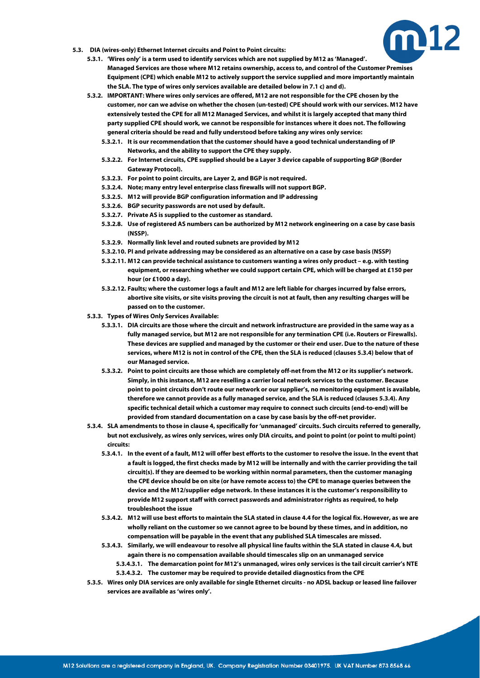

- <span id="page-7-0"></span>**5.3. DIA (wires-only) Ethernet Internet circuits and Point to Point circuits:**
	- **5.3.1. 'Wires only' is a term used to identify services which are not supplied by M12 as 'Managed'. Managed Services are those where M12 retains ownership, access to, and control of the Customer Premises Equipment (CPE) which enable M12 to actively support the service supplied and more importantly maintain the SLA. The type of wires only services available are detailed below in 7.1 c) and d).**
	- **5.3.2. IMPORTANT: Where wires only services are offered, M12 are not responsible for the CPE chosen by the customer, nor can we advise on whether the chosen (un-tested) CPE should work with our services. M12 have extensively tested the CPE for all M12 Managed Services, and whilst it is largely accepted that many third party supplied CPE should work, we cannot be responsible for instances where it does not. The following general criteria should be read and fully understood before taking any wires only service:**
		- **5.3.2.1. It is our recommendation that the customer should have a good technical understanding of IP Networks, and the ability to support the CPE they supply.**
		- **5.3.2.2. For Internet circuits, CPE supplied should be a Layer 3 device capable of supporting BGP (Border Gateway Protocol).**
		- **5.3.2.3. For point to point circuits, are Layer 2, and BGP is not required.**
		- **5.3.2.4. Note; many entry level enterprise class firewalls will not support BGP.**
		- **5.3.2.5. M12 will provide BGP configuration information and IP addressing**
		- **5.3.2.6. BGP security passwords are not used by default.**
		- **5.3.2.7. Private AS is supplied to the customer as standard.**
		- **5.3.2.8. Use of registered AS numbers can be authorized by M12 network engineering on a case by case basis (NSSP).**
		- **5.3.2.9. Normally link level and routed subnets are provided by M12**
		- **5.3.2.10. PI and private addressing may be considered as an alternative on a case by case basis (NSSP)**
		- **5.3.2.11. M12 can provide technical assistance to customers wanting a wires only product – e.g. with testing equipment, or researching whether we could support certain CPE, which will be charged at £150 per hour (or £1000 a day).**
		- **5.3.2.12. Faults; where the customer logs a fault and M12 are left liable for charges incurred by false errors, abortive site visits, or site visits proving the circuit is not at fault, then any resulting charges will be passed on to the customer.**
	- **5.3.3. Types of Wires Only Services Available:**
		- **5.3.3.1. DIA circuits are those where the circuit and network infrastructure are provided in the same way as a fully managed service, but M12 are not responsible for any termination CPE (i.e. Routers or Firewalls). These devices are supplied and managed by the customer or their end user. Due to the nature of these services, where M12 is not in control of the CPE, then the SLA is reduced (clause[s 5.3.4\)](#page-7-0) below that of our Managed service.**
		- **5.3.3.2. Point to point circuits are those which are completely off-net from the M12 or its supplier's network. Simply, in this instance, M12 are reselling a carrier local network services to the customer. Because point to point circuits don't route our network or our supplier's, no monitoring equipment is available, therefore we cannot provide as a fully managed service, and the SLA is reduced (clause[s 5.3.4\)](#page-7-0). Any specific technical detail which a customer may require to connect such circuits (end-to-end) will be provided from standard documentation on a case by case basis by the off-net provider.**
	- **5.3.4. SLA amendments to those in claus[e 4,](#page-4-0) specifically for 'unmanaged' circuits. Such circuits referred to generally, but not exclusively, as wires only services, wires only DIA circuits, and point to point (or point to multi point) circuits:**
		- **5.3.4.1. In the event of a fault, M12 will offer best efforts to the customer to resolve the issue. In the event that a fault is logged, the first checks made by M12 will be internally and with the carrier providing the tail circuit(s). If they are deemed to be working within normal parameters, then the customer managing the CPE device should be on site (or have remote access to) the CPE to manage queries between the device and the M12/supplier edge network. In these instances it is the customer's responsibility to provide M12 support staff with correct passwords and administrator rights as required, to help troubleshoot the issue**
		- **5.3.4.2. M12 will use best efforts to maintain the SLA stated in claus[e 4.4](#page-4-2) for the logical fix. However, as we are wholly reliant on the customer so we cannot agree to be bound by these times, and in addition, no compensation will be payable in the event that any published SLA timescales are missed.**
		- **5.3.4.3. Similarly, we will endeavour to resolve all physical line faults within the SLA stated in claus[e 4.4,](#page-4-2) but again there is no compensation available should timescales slip on an unmanaged service**
			- **5.3.4.3.1. The demarcation point for M12's unmanaged, wires only services is the tail circuit carrier's NTE 5.3.4.3.2. The customer may be required to provide detailed diagnostics from the CPE**
	- **5.3.5. Wires only DIA services are only available for single Ethernet circuits - no ADSL backup or leased line failover services are available as 'wires only'.**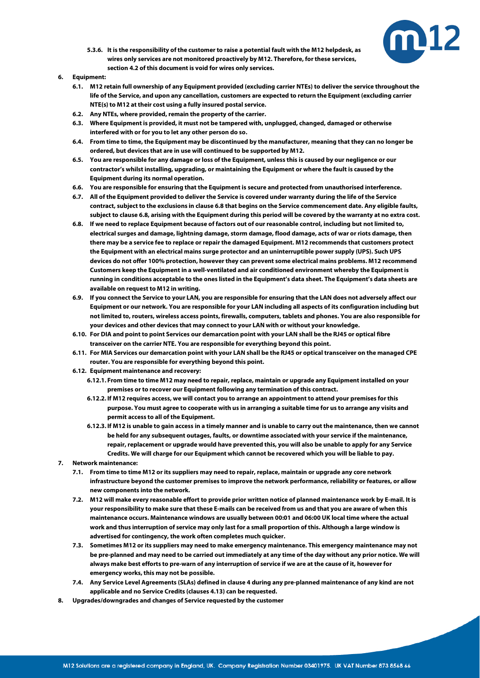

- **5.3.6. It is the responsibility of the customer to raise a potential fault with the M12 helpdesk, as wires only services are not monitored proactively by M12. Therefore, for these services, sectio[n 4.2](#page-4-3) of this document is void for wires only services.**
- <span id="page-8-1"></span>**6. Equipment:**
	- **6.1. M12 retain full ownership of any Equipment provided (excluding carrier NTEs) to deliver the service throughout the life of the Service, and upon any cancellation, customers are expected to return the Equipment (excluding carrier NTE(s) to M12 at their cost using a fully insured postal service.**
	- **6.2. Any NTEs, where provided, remain the property of the carrier.**
	- **6.3. Where Equipment is provided, it must not be tampered with, unplugged, changed, damaged or otherwise interfered with or for you to let any other person do so.**
	- **6.4. From time to time, the Equipment may be discontinued by the manufacturer, meaning that they can no longer be ordered, but devices that are in use will continued to be supported by M12.**
	- **6.5. You are responsible for any damage or loss of the Equipment, unless this is caused by our negligence or our contractor's whilst installing, upgrading, or maintaining the Equipment or where the fault is caused by the Equipment during its normal operation.**
	- **6.6. You are responsible for ensuring that the Equipment is secure and protected from unauthorised interference.**
	- **6.7. All of the Equipment provided to deliver the Service is covered under warranty during the life of the Service contract, subject to the exclusions in claus[e 6.8](#page-8-1) that begins on the Service commencement date. Any eligible faults, subject to claus[e 6.8,](#page-8-1) arising with the Equipment during this period will be covered by the warranty at no extra cost.**
	- **6.8. If we need to replace Equipment because of factors out of our reasonable control, including but not limited to, electrical surges and damage, lightning damage, storm damage, flood damage, acts of war or riots damage, then there may be a service fee to replace or repair the damaged Equipment. M12 recommends that customers protect the Equipment with an electrical mains surge protector and an uninterruptible power supply (UPS). Such UPS devices do not offer 100% protection, however they can prevent some electrical mains problems. M12 recommend Customers keep the Equipment in a well-ventilated and air conditioned environment whereby the Equipment is running in conditions acceptable to the ones listed in the Equipment's data sheet. The Equipment's data sheets are available on request to M12 in writing.**
	- **6.9. If you connect the Service to your LAN, you are responsible for ensuring that the LAN does not adversely affect our Equipment or our network. You are responsible for your LAN including all aspects of its configuration including but not limited to, routers, wireless access points, firewalls, computers, tablets and phones. You are also responsible for your devices and other devices that may connect to your LAN with or without your knowledge.**
	- **6.10. For DIA and point to point Services our demarcation point with your LAN shall be the RJ45 or optical fibre transceiver on the carrier NTE. You are responsible for everything beyond this point.**
	- **6.11. For MIA Services our demarcation point with your LAN shall be the RJ45 or optical transceiver on the managed CPE router. You are responsible for everything beyond this point.**
	- **6.12. Equipment maintenance and recovery:**
		- **6.12.1. From time to time M12 may need to repair, replace, maintain or upgrade any Equipment installed on your premises or to recover our Equipment following any termination of this contract.**
		- **6.12.2. If M12 requires access, we will contact you to arrange an appointment to attend your premises for this purpose. You must agree to cooperate with us in arranging a suitable time for us to arrange any visits and permit access to all of the Equipment.**
		- **6.12.3. If M12 is unable to gain access in a timely manner and is unable to carry out the maintenance, then we cannot be held for any subsequent outages, faults, or downtime associated with your service if the maintenance, repair, replacement or upgrade would have prevented this, you will also be unable to apply for any Service Credits. We will charge for our Equipment which cannot be recovered which you will be liable to pay.**
- <span id="page-8-0"></span>**7. Network maintenance:**
	- **7.1. From time to time M12 or its suppliers may need to repair, replace, maintain or upgrade any core network infrastructure beyond the customer premises to improve the network performance, reliability or features, or allow new components into the network.**
	- **7.2. M12 will make every reasonable effort to provide prior written notice of planned maintenance work by E-mail. It is your responsibility to make sure that these E-mails can be received from us and that you are aware of when this maintenance occurs. Maintenance windows are usually between 00:01 and 06:00 UK local time where the actual work and thus interruption of service may only last for a small proportion of this. Although a large window is advertised for contingency, the work often completes much quicker.**
	- **7.3. Sometimes M12 or its suppliers may need to make emergency maintenance. This emergency maintenance may not be pre-planned and may need to be carried out immediately at any time of the day without any prior notice. We will always make best efforts to pre-warn of any interruption of service if we are at the cause of it, however for emergency works, this may not be possible.**
	- **7.4. Any Service Level Agreements (SLAs) defined in claus[e 4](#page-4-0) during any pre-planned maintenance of any kind are not applicable and no Service Credits (clause[s 4.13\)](#page-5-3) can be requested.**
- **8. Upgrades/downgrades and changes of Service requested by the customer**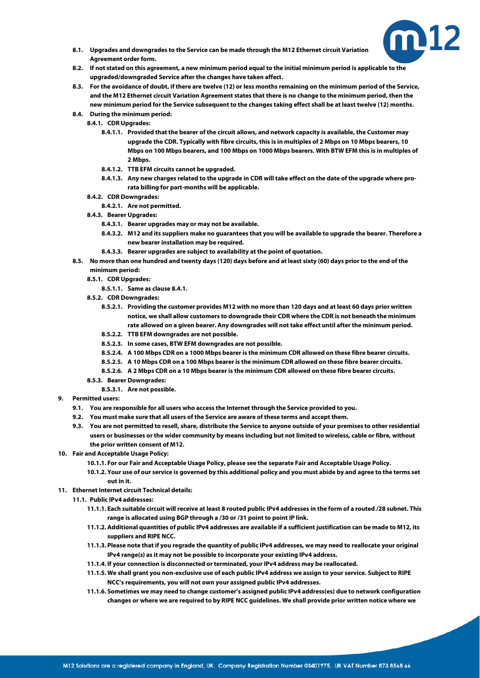

- **8.1. Upgrades and downgrades to the Service can be made through the M12 Ethernet circuit Variation Agreement order form.**
- <span id="page-9-1"></span>**8.2. If not stated on this agreement, a new minimum period equal to the initial minimum period is applicable to the upgraded/downgraded Service after the changes have taken affect.**
- <span id="page-9-2"></span>**8.3. For the avoidance of doubt, if there are twelve (12) or less months remaining on the minimum period of the Service, and the M12 Ethernet circuit Variation Agreement states that there is no change to the minimum period, then the new minimum period for the Service subsequent to the changes taking effect shall be at least twelve (12) months.**
- <span id="page-9-0"></span>**8.4. During the minimum period:**
	- **8.4.1. CDR Upgrades:**
		- **8.4.1.1. Provided that the bearer of the circuit allows, and network capacity is available, the Customer may upgrade the CDR. Typically with fibre circuits, this is in multiples of 2 Mbps on 10 Mbps bearers, 10 Mbps on 100 Mbps bearers, and 100 Mbps on 1000 Mbps bearers. With BTW EFM this is in multiples of 2 Mbps.**
		- **8.4.1.2. TTB EFM circuits cannot be upgraded.**
		- **8.4.1.3. Any new charges related to the upgrade in CDR will take effect on the date of the upgrade where prorata billing for part-months will be applicable.**
	- **8.4.2. CDR Downgrades:**
		- **8.4.2.1. Are not permitted.**
	- **8.4.3. Bearer Upgrades:**
		- **8.4.3.1. Bearer upgrades may or may not be available.**
		- **8.4.3.2. M12 and its suppliers make no guarantees that you will be available to upgrade the bearer. Therefore a new bearer installation may be required.**
		- **8.4.3.3. Bearer upgrades are subject to availability at the point of quotation.**
- **8.5. No more than one hundred and twenty days (120) days before and at least sixty (60) days prior to the end of the minimum period:**
	- **8.5.1. CDR Upgrades:**
		- **8.5.1.1. Same as claus[e 8.4.1.](#page-9-0)**
	- **8.5.2. CDR Downgrades:**
		- **8.5.2.1. Providing the customer provides M12 with no more than 120 days and at least 60 days prior written notice, we shall allow customers to downgrade their CDR where the CDR is not beneath the minimum rate allowed on a given bearer. Any downgrades will not take effect until after the minimum period.**
		- **8.5.2.2. TTB EFM downgrades are not possible.**
		- **8.5.2.3. In some cases, BTW EFM downgrades are not possible.**
		- **8.5.2.4. A 100 Mbps CDR on a 1000 Mbps bearer is the minimum CDR allowed on these fibre bearer circuits.**
		- **8.5.2.5. A 10 Mbps CDR on a 100 Mbps bearer is the minimum CDR allowed on these fibre bearer circuits.**
		- **8.5.2.6. A 2 Mbps CDR on a 10 Mbps bearer is the minimum CDR allowed on these fibre bearer circuits.**
	- **8.5.3. Bearer Downgrades:**
		- **8.5.3.1. Are not possible.**
- **9. Permitted users:**
	- **9.1. You are responsible for all users who access the Internet through the Service provided to you.**
	- **9.2. You must make sure that all users of the Service are aware of these terms and accept them.**
	- **9.3. You are not permitted to resell, share, distribute the Service to anyone outside of your premises to other residential users or businesses or the wider community by means including but not limited to wireless, cable or fibre, without the prior written consent of M12.**
- **10. Fair and Acceptable Usage Policy:**
	- **10.1.1. For our Fair and Acceptable Usage Policy, please see the separate Fair and Acceptable Usage Policy.**
	- **10.1.2. Your use of our service is governed by this additional policy and you must abide by and agree to the terms set out in it.**
- **11. Ethernet Internet circuit Technical details:**
	- **11.1. Public IPv4 addresses:**
		- **11.1.1. Each suitable circuit will receive at least 8 routed public IPv4 addresses in the form of a routed /28 subnet. This range is allocated using BGP through a /30 or /31 point to point IP link.**
		- **11.1.2.Additional quantities of public IPv4 addresses are available if a sufficient justification can be made to M12, its suppliers and RIPE NCC.**
		- **11.1.3. Please note that if you regrade the quantity of public IPv4 addresses, we may need to reallocate your original IPv4 range(s) as it may not be possible to incorporate your existing IPv4 address.**
		- **11.1.4. If your connection is disconnected or terminated, your IPv4 address may be reallocated.**
		- **11.1.5. We shall grant you non-exclusive use of each public IPv4 address we assign to your service. Subject to RIPE NCC's requirements, you will not own your assigned public IPv4 addresses.**
		- **11.1.6. Sometimes we may need to change customer's assigned public IPv4 address(es) due to network configuration changes or where we are required to by RIPE NCC guidelines. We shall provide prior written notice where we**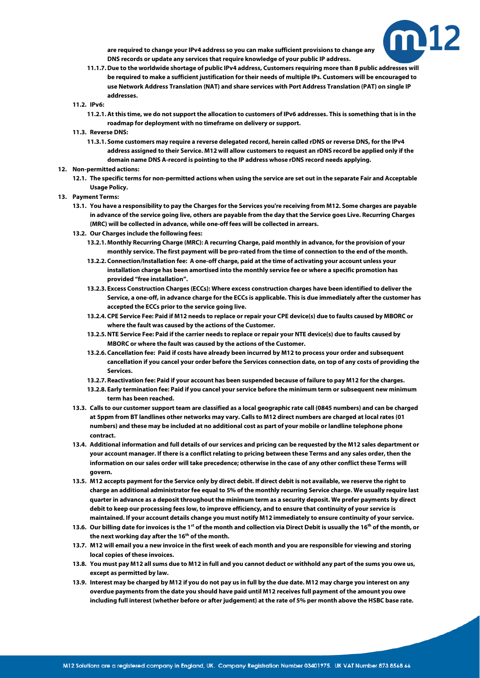

**are required to change your IPv4 address so you can make sufficient provisions to change any DNS records or update any services that require knowledge of your public IP address.**

- **11.1.7.Due to the worldwide shortage of public IPv4 address, Customers requiring more than 8 public addresses will be required to make a sufficient justification for their needs of multiple IPs. Customers will be encouraged to use Network Address Translation (NAT) and share services with Port Address Translation (PAT) on single IP addresses.**
- **11.2. IPv6:**
	- **11.2.1.At this time, we do not support the allocation to customers of IPv6 addresses. This is something that is in the roadmap for deployment with no timeframe on delivery or support.**
- **11.3. Reverse DNS:**
	- **11.3.1. Some customers may require a reverse delegated record, herein called rDNS or reverse DNS, for the IPv4 address assigned to their Service. M12 will allow customers to request an rDNS record be applied only if the domain name DNS A-record is pointing to the IP address whose rDNS record needs applying.**
- **12. Non-permitted actions:**
	- **12.1. The specific terms for non-permitted actions when using the service are set out in the separate Fair and Acceptable Usage Policy.**
- **13. Payment Terms:**
	- **13.1. You have a responsibility to pay the Charges for the Services you're receiving from M12. Some charges are payable in advance of the service going live, others are payable from the day that the Service goes Live. Recurring Charges (MRC) will be collected in advance, while one-off fees will be collected in arrears.**
	- **13.2. Our Charges include the following fees:**
		- **13.2.1. Monthly Recurring Charge (MRC): A recurring Charge, paid monthly in advance, for the provision of your monthly service. The first payment will be pro-rated from the time of connection to the end of the month.**
		- **13.2.2. Connection/Installation fee: A one-off charge, paid at the time of activating your account unless your installation charge has been amortised into the monthly service fee or where a specific promotion has provided "free installation".**
		- **13.2.3. Excess Construction Charges (ECCs): Where excess construction charges have been identified to deliver the Service, a one-off, in advance charge for the ECCs is applicable. This is due immediately after the customer has accepted the ECCs prior to the service going live.**
		- **13.2.4. CPE Service Fee: Paid if M12 needs to replace or repair your CPE device(s) due to faults caused by MBORC or where the fault was caused by the actions of the Customer.**
		- **13.2.5.NTE Service Fee: Paid if the carrier needs to replace or repair your NTE device(s) due to faults caused by MBORC or where the fault was caused by the actions of the Customer.**
		- **13.2.6. Cancellation fee: Paid if costs have already been incurred by M12 to process your order and subsequent cancellation if you cancel your order before the Services connection date, on top of any costs of providing the Services.**
		- **13.2.7. Reactivation fee: Paid if your account has been suspended because of failure to pay M12 for the charges.**
		- **13.2.8. Early termination fee: Paid if you cancel your service before the minimum term or subsequent new minimum term has been reached.**
	- **13.3. Calls to our customer support team are classified as a local geographic rate call (0845 numbers) and can be charged at 5ppm from BT landlines other networks may vary. Calls to M12 direct numbers are charged at local rates (01 numbers) and these may be included at no additional cost as part of your mobile or landline telephone phone contract.**
	- **13.4. Additional information and full details of our services and pricing can be requested by the M12 sales department or your account manager. If there is a conflict relating to pricing between these Terms and any sales order, then the information on our sales order will take precedence; otherwise in the case of any other conflict these Terms will govern.**
	- **13.5. M12 accepts payment for the Service only by direct debit. If direct debit is not available, we reserve the right to charge an additional administrator fee equal to 5% of the monthly recurring Service charge. We usually require last quarter in advance as a deposit throughout the minimum term as a security deposit. We prefer payments by direct debit to keep our processing fees low, to improve efficiency, and to ensure that continuity of your service is maintained. If your account details change you must notify M12 immediately to ensure continuity of your service.**
	- **13.6. Our billing date for invoices is the 1st of the month and collection via Direct Debit is usually the 16th of the month, or the next working day after the 16th of the month.**
	- **13.7. M12 will email you a new invoice in the first week of each month and you are responsible for viewing and storing local copies of these invoices.**
	- **13.8. You must pay M12 all sums due to M12 in full and you cannot deduct or withhold any part of the sums you owe us, except as permitted by law.**
	- **13.9. Interest may be charged by M12 if you do not pay us in full by the due date. M12 may charge you interest on any overdue payments from the date you should have paid until M12 receives full payment of the amount you owe including full interest (whether before or after judgement) at the rate of 5% per month above the HSBC base rate.**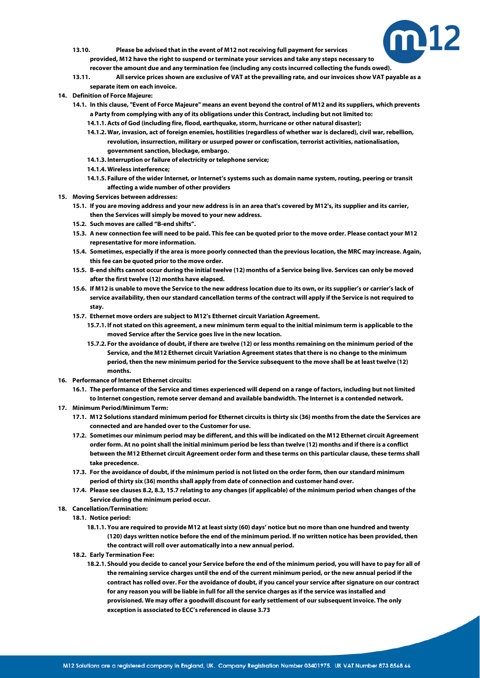

- **13.10. Please be advised that in the event of M12 not receiving full payment for services provided, M12 have the right to suspend or terminate your services and take any steps necessary to recover the amount due and any termination fee (including any costs incurred collecting the funds owed).**
- **13.11. All service prices shown are exclusive of VAT at the prevailing rate, and our invoices show VAT payable as a separate item on each invoice.**
- <span id="page-11-0"></span>**14. Definition of Force Majeure:**
	- **14.1. In this clause, "Event of Force Majeure" means an event beyond the control of M12 and its suppliers, which prevents a Party from complying with any of its obligations under this Contract, including but not limited to:**
		- **14.1.1.Acts of God (including fire, flood, earthquake, storm, hurricane or other natural disaster);**
		- **14.1.2. War, invasion, act of foreign enemies, hostilities (regardless of whether war is declared), civil war, rebellion, revolution, insurrection, military or usurped power or confiscation, terrorist activities, nationalisation, government sanction, blockage, embargo.**
		- **14.1.3. Interruption or failure of electricity or telephone service;**
		- **14.1.4. Wireless interference;**
		- **14.1.5. Failure of the wider Internet, or Internet's systems such as domain name system, routing, peering or transit affecting a wide number of other providers**
- **15. Moving Services between addresses:**
	- **15.1. If you are moving address and your new address is in an area that's covered by M12's, its supplier and its carrier, then the Services will simply be moved to your new address.**
	- **15.2. Such moves are called "B-end shifts".**
	- **15.3. A new connection fee will need to be paid. This fee can be quoted prior to the move order. Please contact your M12 representative for more information.**
	- **15.4. Sometimes, especially if the area is more poorly connected than the previous location, the MRC may increase. Again, this fee can be quoted prior to the move order.**
	- **15.5. B-end shifts cannot occur during the initial twelve (12) months of a Service being live. Services can only be moved after the first twelve (12) months have elapsed.**
	- **15.6. If M12 is unable to move the Service to the new address location due to its own, or its supplier's or carrier's lack of service availability, then our standard cancellation terms of the contract will apply if the Service is not required to stay.**
	- **15.7. Ethernet move orders are subject to M12's Ethernet circuit Variation Agreement.**
		- **15.7.1. If not stated on this agreement, a new minimum term equal to the initial minimum term is applicable to the moved Service after the Service goes live in the new location.**
		- **15.7.2. For the avoidance of doubt, if there are twelve (12) or less months remaining on the minimum period of the Service, and the M12 Ethernet circuit Variation Agreement states that there is no change to the minimum period, then the new minimum period for the Service subsequent to the move shall be at least twelve (12) months.**
- <span id="page-11-1"></span>**16. Performance of Internet Ethernet circuits:**
	- **16.1. The performance of the Service and times experienced will depend on a range of factors, including but not limited to Internet congestion, remote server demand and available bandwidth. The Internet is a contended network.**
- **17. Minimum Period/Minimum Term:**
	- **17.1. M12 Solutions standard minimum period for Ethernet circuits is thirty six (36) months from the date the Services are connected and are handed over to the Customer for use.**
	- **17.2. Sometimes our minimum period may be different, and this will be indicated on the M12 Ethernet circuit Agreement order form. At no point shall the initial minimum period be less than twelve (12) months and if there is a conflict between the M12 Ethernet circuit Agreement order form and these terms on this particular clause, these terms shall take precedence.**
	- **17.3. For the avoidance of doubt, if the minimum period is not listed on the order form, then our standard minimum period of thirty six (36) months shall apply from date of connection and customer hand over.**
	- **17.4. Please see clause[s 8.2,](#page-9-1) [8.3,](#page-9-2) [15.7](#page-11-1) relating to any changes (if applicable) of the minimum period when changes of the Service during the minimum period occur.**
- **18. Cancellation/Termination:**
	- **18.1. Notice period:**
		- **18.1.1. You are required to provide M12 at least sixty (60) days' notice but no more than one hundred and twenty (120) days written notice before the end of the minimum period. If no written notice has been provided, then the contract will roll over automatically into a new annual period.**
	- **18.2. Early Termination Fee:**
		- **18.2.1. Should you decide to cancel your Service before the end of the minimum period, you will have to pay for all of the remaining service charges until the end of the current minimum period, or the new annual period if the contract has rolled over. For the avoidance of doubt, if you cancel your service after signature on our contract for any reason you will be liable in full for all the service charges as if the service was installed and provisioned. We may offer a goodwill discount for early settlement of our subsequent invoice. The only exception is associated to ECC's referenced in clause 3.73**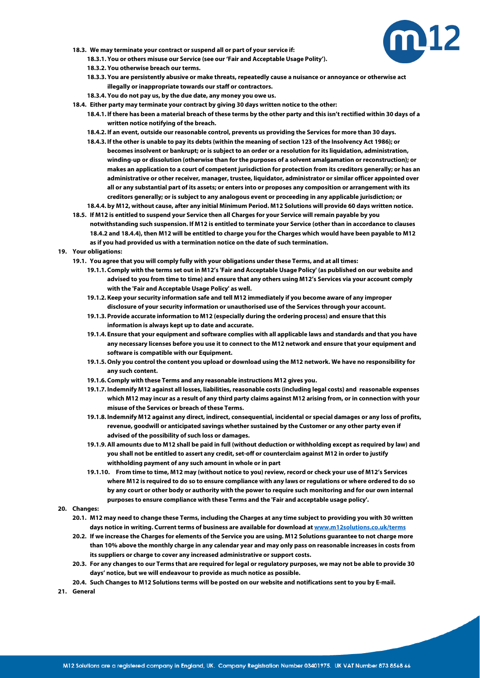

- **18.3. We may terminate your contract or suspend all or part of your service if:**
	- **18.3.1. You or others misuse our Service (see our 'Fair and Acceptable Usage Polity').**
	- **18.3.2. You otherwise breach our terms.**
	- **18.3.3. You are persistently abusive or make threats, repeatedly cause a nuisance or annoyance or otherwise act illegally or inappropriate towards our staff or contractors.**
	- **18.3.4. You do not pay us, by the due date, any money you owe us.**
- **18.4. Either party may terminate your contract by giving 30 days written notice to the other:**
	- **18.4.1. If there has been a material breach of these terms by the other party and this isn't rectified within 30 days of a written notice notifying of the breach.**
	- **18.4.2. If an event, outside our reasonable control, prevents us providing the Services for more than 30 days.**
	- **18.4.3. If the other is unable to pay its debts (within the meaning of section 123 of the Insolvency Act 1986); or becomes insolvent or bankrupt; or is subject to an order or a resolution for its liquidation, administration, winding-up or dissolution (otherwise than for the purposes of a solvent amalgamation or reconstruction); or makes an application to a court of competent jurisdiction for protection from its creditors generally; or has an administrative or other receiver, manager, trustee, liquidator, administrator or similar officer appointed over all or any substantial part of its assets; or enters into or proposes any composition or arrangement with its creditors generally; or is subject to any analogous event or proceeding in any applicable jurisdiction; or 18.4.4. by M12, without cause, after any initial Minimum Period. M12 Solutions will provide 60 days written notice.**
- **18.5. If M12 is entitled to suspend your Service then all Charges for your Service will remain payable by you notwithstanding such suspension. If M12 is entitled to terminate your Service (other than in accordance to clauses 18.4.2 and 18.4.4), then M12 will be entitled to charge you for the Charges which would have been payable to M12** 
	- **as if you had provided us with a termination notice on the date of such termination.**
- **19. Your obligations:**
	- **19.1. You agree that you will comply fully with your obligations under these Terms, and at all times:**
		- **19.1.1. Comply with the terms set out in M12's 'Fair and Acceptable Usage Policy' (as published on our website and advised to you from time to time) and ensure that any others using M12's Services via your account comply with the 'Fair and Acceptable Usage Policy' as well.**
		- **19.1.2. Keep your security information safe and tell M12 immediately if you become aware of any improper disclosure of your security information or unauthorised use of the Services through your account.**
		- **19.1.3. Provide accurate information to M12 (especially during the ordering process) and ensure that this information is always kept up to date and accurate.**
		- **19.1.4. Ensure that your equipment and software complies with all applicable laws and standards and that you have any necessary licenses before you use it to connect to the M12 network and ensure that your equipment and software is compatible with our Equipment.**
		- **19.1.5. Only you control the content you upload or download using the M12 network. We have no responsibility for any such content.**
		- **19.1.6. Comply with these Terms and any reasonable instructions M12 gives you.**
		- **19.1.7. Indemnify M12 against all losses, liabilities, reasonable costs (including legal costs) and reasonable expenses which M12 may incur as a result of any third party claims against M12 arising from, or in connection with your misuse of the Services or breach of these Terms.**
		- **19.1.8. Indemnify M12 against any direct, indirect, consequential, incidental or special damages or any loss of profits, revenue, goodwill or anticipated savings whether sustained by the Customer or any other party even if advised of the possibility of such loss or damages.**
		- **19.1.9.All amounts due to M12 shall be paid in full (without deduction or withholding except as required by law) and you shall not be entitled to assert any credit, set-off or counterclaim against M12 in order to justify withholding payment of any such amount in whole or in part**
		- **19.1.10. From time to time, M12 may (without notice to you) review, record or check your use of M12's Services where M12 is required to do so to ensure compliance with any laws or regulations or where ordered to do so by any court or other body or authority with the power to require such monitoring and for our own internal purposes to ensure compliance with these Terms and the 'Fair and acceptable usage policy'.**
- **20. Changes:**
	- **20.1. M12 may need to change these Terms, including the Charges at any time subject to providing you with 30 written days notice in writing. Current terms of business are available for download a[t www.m12solutions.co.uk/terms](http://www.m12solutions.co.uk/terms)**
	- **20.2. If we increase the Charges for elements of the Service you are using. M12 Solutions guarantee to not charge more than 10% above the monthly charge in any calendar year and may only pass on reasonable increases in costs from its suppliers or charge to cover any increased administrative or support costs.**
	- **20.3. For any changes to our Terms that are required for legal or regulatory purposes, we may not be able to provide 30 days' notice, but we will endeavour to provide as much notice as possible.**
	- **20.4. Such Changes to M12 Solutions terms will be posted on our website and notifications sent to you by E-mail.**
- **21. General**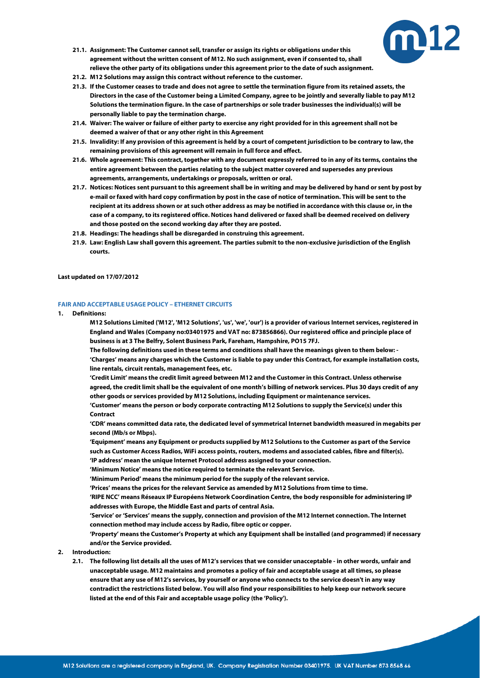

- **21.1. Assignment: The Customer cannot sell, transfer or assign its rights or obligations under this agreement without the written consent of M12. No such assignment, even if consented to, shall relieve the other party of its obligations under this agreement prior to the date of such assignment.**
- **21.2. M12 Solutions may assign this contract without reference to the customer.**
- **21.3. If the Customer ceases to trade and does not agree to settle the termination figure from its retained assets, the Directors in the case of the Customer being a Limited Company, agree to be jointly and severally liable to pay M12 Solutions the termination figure. In the case of partnerships or sole trader businesses the individual(s) will be personally liable to pay the termination charge.**
- **21.4. Waiver: The waiver or failure of either party to exercise any right provided for in this agreement shall not be deemed a waiver of that or any other right in this Agreement**
- **21.5. Invalidity: If any provision of this agreement is held by a court of competent jurisdiction to be contrary to law, the remaining provisions of this agreement will remain in full force and effect.**
- **21.6. Whole agreement: This contract, together with any document expressly referred to in any of its terms, contains the entire agreement between the parties relating to the subject matter covered and supersedes any previous agreements, arrangements, undertakings or proposals, written or oral.**
- **21.7. Notices: Notices sent pursuant to this agreement shall be in writing and may be delivered by hand or sent by post by e-mail or faxed with hard copy confirmation by post in the case of notice of termination. This will be sent to the recipient at its address shown or at such other address as may be notified in accordance with this clause or, in the case of a company, to its registered office. Notices hand delivered or faxed shall be deemed received on delivery and those posted on the second working day after they are posted.**
- **21.8. Headings: The headings shall be disregarded in construing this agreement.**
- **21.9. Law: English Law shall govern this agreement. The parties submit to the non-exclusive jurisdiction of the English courts.**

### <span id="page-13-0"></span>**Last updated on 17/07/2012**

### **FAIR AND ACCEPTABLE USAGE POLICY – ETHERNET CIRCUITS**

- **1. Definitions:**
	- **M12 Solutions Limited ('M12', 'M12 Solutions', 'us', 'we', 'our') is a provider of various Internet services, registered in England and Wales (Company no:03401975 and VAT no: 873856866). Our registered office and principle place of business is at 3 The Belfry, Solent Business Park, Fareham, Hampshire, PO15 7FJ.**

**The following definitions used in these terms and conditions shall have the meanings given to them below: - 'Charges' means any charges which the Customer is liable to pay under this Contract, for example installation costs, line rentals, circuit rentals, management fees, etc.** 

**'Credit Limit' means the credit limit agreed between M12 and the Customer in this Contract. Unless otherwise agreed, the credit limit shall be the equivalent of one month's billing of network services. Plus 30 days credit of any other goods or services provided by M12 Solutions, including Equipment or maintenance services.** 

**'Customer' means the person or body corporate contracting M12 Solutions to supply the Service(s) under this Contract** 

**'CDR' means committed data rate, the dedicated level of symmetrical Internet bandwidth measured in megabits per second (Mb/s or Mbps).**

**'Equipment' means any Equipment or products supplied by M12 Solutions to the Customer as part of the Service such as Customer Access Radios, WiFi access points, routers, modems and associated cables, fibre and filter(s). 'IP address' mean the unique Internet Protocol address assigned to your connection.**

**'Minimum Notice' means the notice required to terminate the relevant Service.**

**'Minimum Period' means the minimum period for the supply of the relevant service.**

**'Prices' means the prices for the relevant Service as amended by M12 Solutions from time to time.**

**'RIPE NCC' means Réseaux IP Européens Network Coordination Centre, the body responsible for administering IP addresses with Europe, the Middle East and parts of central Asia.**

**'Service' or 'Services' means the supply, connection and provision of the M12 Internet connection. The Internet connection method may include access by Radio, fibre optic or copper.**

**'Property' means the Customer's Property at which any Equipment shall be installed (and programmed) if necessary and/or the Service provided.** 

- **2. Introduction:**
	- **2.1. The following list details all the uses of M12's services that we consider unacceptable - in other words, unfair and unacceptable usage. M12 maintains and promotes a policy of fair and acceptable usage at all times, so please ensure that any use of M12's services, by yourself or anyone who connects to the service doesn't in any way contradict the restrictions listed below. You will also find your responsibilities to help keep our network secure listed at the end of this Fair and acceptable usage policy (the 'Policy').**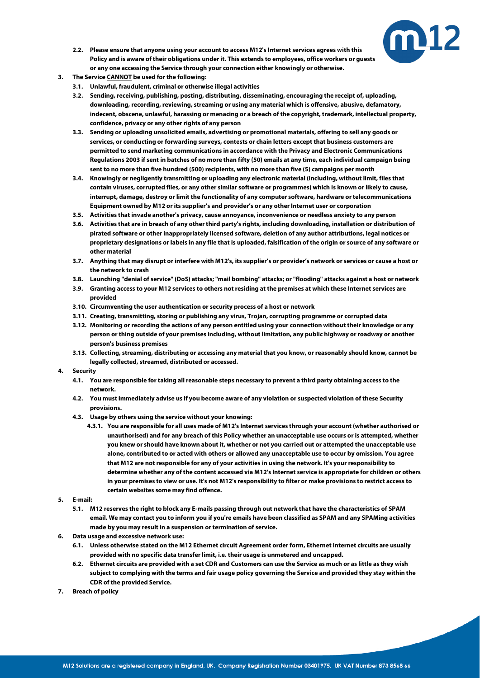

- **2.2. Please ensure that anyone using your account to access M12's Internet services agrees with this Policy and is aware of their obligations under it. This extends to employees, office workers or guests or any one accessing the Service through your connection either knowingly or otherwise.**
- **3. The Service CANNOT be used for the following:**
	- **3.1. Unlawful, fraudulent, criminal or otherwise illegal activities**
	- **3.2. Sending, receiving, publishing, posting, distributing, disseminating, encouraging the receipt of, uploading, downloading, recording, reviewing, streaming or using any material which is offensive, abusive, defamatory, indecent, obscene, unlawful, harassing or menacing or a breach of the copyright, trademark, intellectual property, confidence, privacy or any other rights of any person**
	- **3.3. Sending or uploading unsolicited emails, advertising or promotional materials, offering to sell any goods or services, or conducting or forwarding surveys, contests or chain letters except that business customers are permitted to send marketing communications in accordance with the Privacy and Electronic Communications Regulations 2003 if sent in batches of no more than fifty (50) emails at any time, each individual campaign being sent to no more than five hundred (500) recipients, with no more than five (5) campaigns per month**
	- **3.4. Knowingly or negligently transmitting or uploading any electronic material (including, without limit, files that contain viruses, corrupted files, or any other similar software or programmes) which is known or likely to cause, interrupt, damage, destroy or limit the functionality of any computer software, hardware or telecommunications Equipment owned by M12 or its supplier's and provider's or any other Internet user or corporation**
	- **3.5. Activities that invade another's privacy, cause annoyance, inconvenience or needless anxiety to any person**
	- **3.6. Activities that are in breach of any other third party's rights, including downloading, installation or distribution of pirated software or other inappropriately licensed software, deletion of any author attributions, legal notices or proprietary designations or labels in any file that is uploaded, falsification of the origin or source of any software or other material**
	- **3.7. Anything that may disrupt or interfere with M12's, its supplier's or provider's network or services or cause a host or the network to crash**
	- **3.8. Launching "denial of service" (DoS) attacks; "mail bombing" attacks; or "flooding" attacks against a host or network**
	- **3.9. Granting access to your M12 services to others not residing at the premises at which these Internet services are provided**
	- **3.10. Circumventing the user authentication or security process of a host or network**
	- **3.11. Creating, transmitting, storing or publishing any virus, Trojan, corrupting programme or corrupted data**
	- **3.12. Monitoring or recording the actions of any person entitled using your connection without their knowledge or any person or thing outside of your premises including, without limitation, any public highway or roadway or another person's business premises**
	- **3.13. Collecting, streaming, distributing or accessing any material that you know, or reasonably should know, cannot be legally collected, streamed, distributed or accessed.**
- **4. Security**
	- **4.1. You are responsible for taking all reasonable steps necessary to prevent a third party obtaining access to the network.**
	- **4.2. You must immediately advise us if you become aware of any violation or suspected violation of these Security provisions.**
	- **4.3. Usage by others using the service without your knowing:**
		- **4.3.1. You are responsible for all uses made of M12's Internet services through your account (whether authorised or unauthorised) and for any breach of this Policy whether an unacceptable use occurs or is attempted, whether you knew or should have known about it, whether or not you carried out or attempted the unacceptable use alone, contributed to or acted with others or allowed any unacceptable use to occur by omission. You agree that M12 are not responsible for any of your activities in using the network. It's your responsibility to determine whether any of the content accessed via M12's Internet service is appropriate for children or others in your premises to view or use. It's not M12's responsibility to filter or make provisions to restrict access to certain websites some may find offence.**
- **5. E-mail:**
	- **5.1. M12 reserves the right to block any E-mails passing through out network that have the characteristics of SPAM email. We may contact you to inform you if you're emails have been classified as SPAM and any SPAMing activities made by you may result in a suspension or termination of service.**
- **6. Data usage and excessive network use:**
	- **6.1. Unless otherwise stated on the M12 Ethernet circuit Agreement order form, Ethernet Internet circuits are usually provided with no specific data transfer limit, i.e. their usage is unmetered and uncapped.**
	- **6.2. Ethernet circuits are provided with a set CDR and Customers can use the Service as much or as little as they wish subject to complying with the terms and fair usage policy governing the Service and provided they stay within the CDR of the provided Service.**
- **7. Breach of policy**